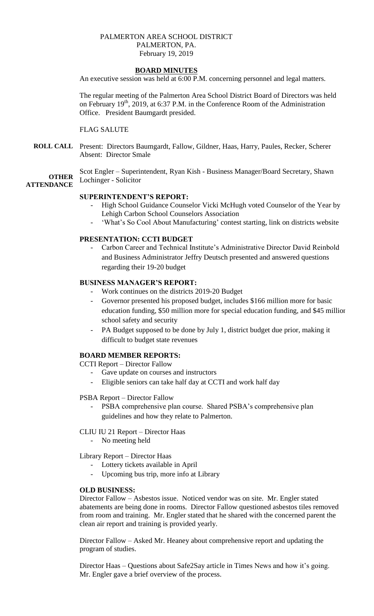# PALMERTON AREA SCHOOL DISTRICT PALMERTON, PA. February 19, 2019

# **BOARD MINUTES**

An executive session was held at 6:00 P.M. concerning personnel and legal matters.

The regular meeting of the Palmerton Area School District Board of Directors was held on February  $19<sup>th</sup>$ , 2019, at 6:37 P.M. in the Conference Room of the Administration Office. President Baumgardt presided.

# FLAG SALUTE

**ROLL CALL** Present: Directors Baumgardt, Fallow, Gildner, Haas, Harry, Paules, Recker, Scherer Absent: Director Smale

**OTHER** Scot Engler – Superintendent, Ryan Kish - Business Manager/Board Secretary, Shawn Lochinger - Solicitor

# **ATTENDANCE**

# **SUPERINTENDENT'S REPORT:**

- High School Guidance Counselor Vicki McHugh voted Counselor of the Year by Lehigh Carbon School Counselors Association
- 'What's So Cool About Manufacturing' contest starting, link on districts website

# **PRESENTATION: CCTI BUDGET**

- Carbon Career and Technical Institute's Administrative Director David Reinbold and Business Administrator Jeffry Deutsch presented and answered questions regarding their 19-20 budget

# **BUSINESS MANAGER'S REPORT:**

- Work continues on the districts 2019-20 Budget
- Governor presented his proposed budget, includes \$166 million more for basic education funding, \$50 million more for special education funding, and \$45 million school safety and security
- PA Budget supposed to be done by July 1, district budget due prior, making it difficult to budget state revenues

#### **BOARD MEMBER REPORTS:**

CCTI Report – Director Fallow

- Gave update on courses and instructors
- Eligible seniors can take half day at CCTI and work half day

#### PSBA Report – Director Fallow

PSBA comprehensive plan course. Shared PSBA's comprehensive plan guidelines and how they relate to Palmerton.

#### CLIU IU 21 Report – Director Haas

- No meeting held

Library Report – Director Haas

- Lottery tickets available in April
- Upcoming bus trip, more info at Library

#### **OLD BUSINESS:**

Director Fallow – Asbestos issue. Noticed vendor was on site. Mr. Engler stated abatements are being done in rooms. Director Fallow questioned asbestos tiles removed from room and training. Mr. Engler stated that he shared with the concerned parent the clean air report and training is provided yearly.

Director Fallow – Asked Mr. Heaney about comprehensive report and updating the program of studies.

Director Haas – Questions about Safe2Say article in Times News and how it's going. Mr. Engler gave a brief overview of the process.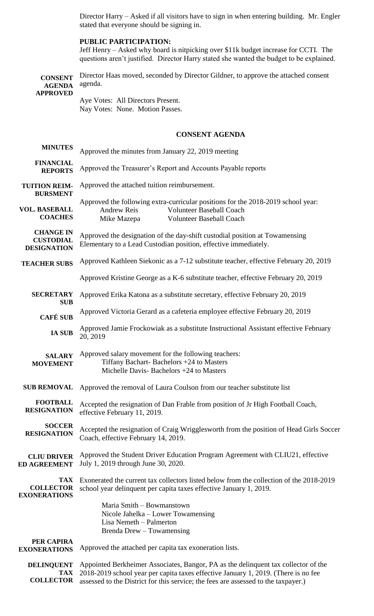Director Harry – Asked if all visitors have to sign in when entering building. Mr. Engler stated that everyone should be signing in.

# **PUBLIC PARTICIPATION:**

Jeff Henry – Asked why board is nitpicking over \$11k budget increase for CCTI. The questions aren't justified. Director Harry stated she wanted the budget to be explained.

| <b>CONSENT</b><br><b>AGENDA</b>                            | Director Haas moved, seconded by Director Gildner, to approve the attached consent<br>agenda.                                                                                        |
|------------------------------------------------------------|--------------------------------------------------------------------------------------------------------------------------------------------------------------------------------------|
| <b>APPROVED</b>                                            | Aye Votes: All Directors Present.<br>Nay Votes: None. Motion Passes.                                                                                                                 |
|                                                            | <b>CONSENT AGENDA</b>                                                                                                                                                                |
| <b>MINUTES</b>                                             | Approved the minutes from January 22, 2019 meeting                                                                                                                                   |
| <b>FINANCIAL</b><br><b>REPORTS</b>                         | Approved the Treasurer's Report and Accounts Payable reports                                                                                                                         |
| <b>TUITION REIM-</b><br><b>BURSMENT</b>                    | Approved the attached tuition reimbursement.                                                                                                                                         |
| <b>VOL. BASEBALL</b><br><b>COACHES</b>                     | Approved the following extra-curricular positions for the 2018-2019 school year:<br><b>Andrew Reis</b><br><b>Volunteer Baseball Coach</b><br>Volunteer Baseball Coach<br>Mike Mazepa |
| <b>CHANGE IN</b><br><b>CUSTODIAL</b><br><b>DESIGNATION</b> | Approved the designation of the day-shift custodial position at Towamensing<br>Elementary to a Lead Custodian position, effective immediately.                                       |
| <b>TEACHER SUBS</b>                                        | Approved Kathleen Siekonic as a 7-12 substitute teacher, effective February 20, 2019                                                                                                 |
|                                                            | Approved Kristine George as a K-6 substitute teacher, effective February 20, 2019                                                                                                    |
| <b>SECRETARY</b><br><b>SUB</b>                             | Approved Erika Katona as a substitute secretary, effective February 20, 2019                                                                                                         |
| <b>CAFÉ SUB</b>                                            | Approved Victoria Gerard as a cafeteria employee effective February 20, 2019                                                                                                         |
| <b>IA SUB</b>                                              | Approved Jamie Frockowiak as a substitute Instructional Assistant effective February<br>20, 2019                                                                                     |
| <b>SALARY</b><br><b>MOVEMENT</b>                           | Approved salary movement for the following teachers:<br>Tiffany Bachart-Bachelors +24 to Masters<br>Michelle Davis-Bachelors +24 to Masters                                          |
| <b>SUB REMOVAL</b>                                         | Approved the removal of Laura Coulson from our teacher substitute list                                                                                                               |
| <b>FOOTBALL</b><br><b>RESIGNATION</b>                      | Accepted the resignation of Dan Frable from position of Jr High Football Coach,<br>effective February 11, 2019.                                                                      |
| <b>SOCCER</b><br><b>RESIGNATION</b>                        | Accepted the resignation of Craig Wrigglesworth from the position of Head Girls Soccer<br>Coach, effective February 14, 2019.                                                        |
| <b>CLIU DRIVER</b><br><b>ED AGREEMENT</b>                  | Approved the Student Driver Education Program Agreement with CLIU21, effective<br>July 1, 2019 through June 30, 2020.                                                                |
| <b>TAX</b><br><b>COLLECTOR</b><br><b>EXONERATIONS</b>      | Exonerated the current tax collectors listed below from the collection of the 2018-2019<br>school year delinquent per capita taxes effective January 1, 2019.                        |
|                                                            | Maria Smith - Bowmanstown<br>Nicole Jahelka – Lower Towamensing<br>Lisa Nemeth - Palmerton<br>Brenda Drew - Towamensing                                                              |
| PER CAPIRA<br><b>EXONERATIONS</b>                          | Approved the attached per capita tax exoneration lists.                                                                                                                              |
| <b>DELINQUENT</b><br><b>TAX</b>                            | Appointed Berkheimer Associates, Bangor, PA as the delinquent tax collector of the<br>2018-2019 school year per capita taxes effective January 1, 2019. (There is no fee             |

**COLLECTOR** assessed to the District for this service; the fees are assessed to the taxpayer.)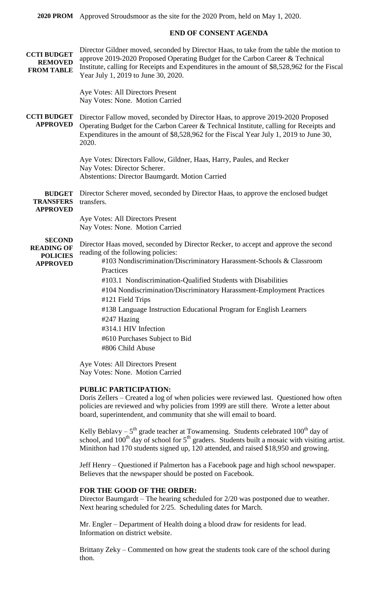**2020 PROM** Approved Stroudsmoor as the site for the 2020 Prom, held on May 1, 2020.

# **END OF CONSENT AGENDA**

| <b>CCTI BUDGET</b><br><b>REMOVED</b><br><b>FROM TABLE</b>                | Director Gildner moved, seconded by Director Haas, to take from the table the motion to<br>approve 2019-2020 Proposed Operating Budget for the Carbon Career & Technical<br>Institute, calling for Receipts and Expenditures in the amount of \$8,528,962 for the Fiscal<br>Year July 1, 2019 to June 30, 2020.                                                                                                                                                                                                                               |
|--------------------------------------------------------------------------|-----------------------------------------------------------------------------------------------------------------------------------------------------------------------------------------------------------------------------------------------------------------------------------------------------------------------------------------------------------------------------------------------------------------------------------------------------------------------------------------------------------------------------------------------|
|                                                                          | Aye Votes: All Directors Present<br>Nay Votes: None. Motion Carried                                                                                                                                                                                                                                                                                                                                                                                                                                                                           |
| <b>CCTI BUDGET</b><br><b>APPROVED</b>                                    | Director Fallow moved, seconded by Director Haas, to approve 2019-2020 Proposed<br>Operating Budget for the Carbon Career & Technical Institute, calling for Receipts and<br>Expenditures in the amount of \$8,528,962 for the Fiscal Year July 1, 2019 to June 30,<br>2020.                                                                                                                                                                                                                                                                  |
|                                                                          | Aye Votes: Directors Fallow, Gildner, Haas, Harry, Paules, and Recker<br>Nay Votes: Director Scherer.<br><b>Abstentions: Director Baumgardt. Motion Carried</b>                                                                                                                                                                                                                                                                                                                                                                               |
| <b>BUDGET</b><br><b>TRANSFERS</b><br><b>APPROVED</b>                     | Director Scherer moved, seconded by Director Haas, to approve the enclosed budget<br>transfers.                                                                                                                                                                                                                                                                                                                                                                                                                                               |
|                                                                          | Aye Votes: All Directors Present<br>Nay Votes: None. Motion Carried                                                                                                                                                                                                                                                                                                                                                                                                                                                                           |
| <b>SECOND</b><br><b>READING OF</b><br><b>POLICIES</b><br><b>APPROVED</b> | Director Haas moved, seconded by Director Recker, to accept and approve the second<br>reading of the following policies:<br>#103 Nondiscrimination/Discriminatory Harassment-Schools & Classroom<br>Practices<br>#103.1 Nondiscrimination-Qualified Students with Disabilities<br>#104 Nondiscrimination/Discriminatory Harassment-Employment Practices<br>#121 Field Trips<br>#138 Language Instruction Educational Program for English Learners<br>#247 Hazing<br>#314.1 HIV Infection<br>#610 Purchases Subject to Bid<br>#806 Child Abuse |
|                                                                          | Aye Votes: All Directors Present<br>Nay Votes: None. Motion Carried                                                                                                                                                                                                                                                                                                                                                                                                                                                                           |

#### **PUBLIC PARTICIPATION:**

Doris Zellers – Created a log of when policies were reviewed last. Questioned how often policies are reviewed and why policies from 1999 are still there. Wrote a letter about board, superintendent, and community that she will email to board.

Kelly Beblavy –  $5<sup>th</sup>$  grade teacher at Towamensing. Students celebrated 100<sup>th</sup> day of school, and  $100<sup>th</sup>$  day of school for  $5<sup>th</sup>$  graders. Students built a mosaic with visiting artist. Minithon had 170 students signed up, 120 attended, and raised \$18,950 and growing.

Jeff Henry – Questioned if Palmerton has a Facebook page and high school newspaper. Believes that the newspaper should be posted on Facebook.

# **FOR THE GOOD OF THE ORDER:**

Director Baumgardt – The hearing scheduled for 2/20 was postponed due to weather. Next hearing scheduled for 2/25. Scheduling dates for March.

Mr. Engler – Department of Health doing a blood draw for residents for lead. Information on district website.

Brittany Zeky – Commented on how great the students took care of the school during thon.